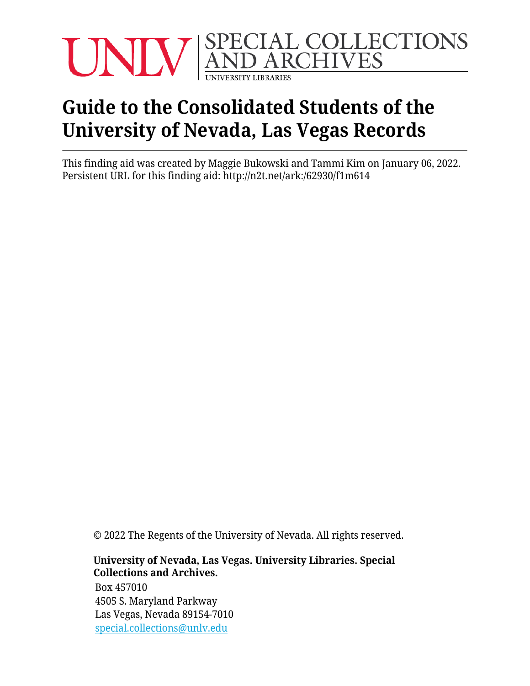

# **Guide to the Consolidated Students of the University of Nevada, Las Vegas Records**

This finding aid was created by Maggie Bukowski and Tammi Kim on January 06, 2022. Persistent URL for this finding aid: <http://n2t.net/ark:/62930/f1m614>

© 2022 The Regents of the University of Nevada. All rights reserved.

#### **University of Nevada, Las Vegas. University Libraries. Special Collections and Archives.**

Box 457010 4505 S. Maryland Parkway Las Vegas, Nevada 89154-7010 [special.collections@unlv.edu](mailto:special.collections@unlv.edu)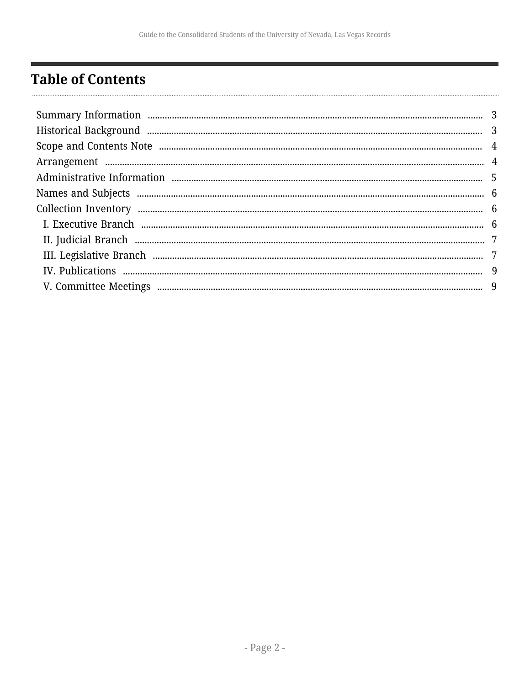## <span id="page-1-0"></span>**Table of Contents**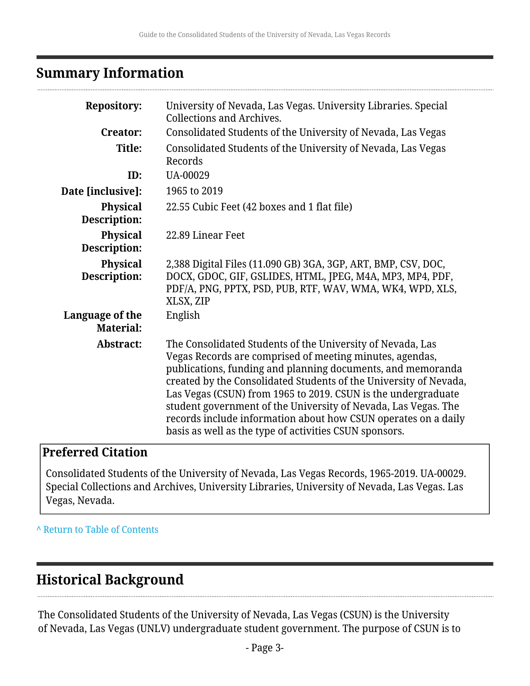### <span id="page-2-0"></span>**Summary Information**

| <b>Repository:</b>                  | University of Nevada, Las Vegas. University Libraries. Special<br><b>Collections and Archives.</b>                                                                                                                                                                                                                                                                                                                                                                                                                        |
|-------------------------------------|---------------------------------------------------------------------------------------------------------------------------------------------------------------------------------------------------------------------------------------------------------------------------------------------------------------------------------------------------------------------------------------------------------------------------------------------------------------------------------------------------------------------------|
| <b>Creator:</b>                     | Consolidated Students of the University of Nevada, Las Vegas                                                                                                                                                                                                                                                                                                                                                                                                                                                              |
| Title:                              | Consolidated Students of the University of Nevada, Las Vegas<br>Records                                                                                                                                                                                                                                                                                                                                                                                                                                                   |
| ID:                                 | UA-00029                                                                                                                                                                                                                                                                                                                                                                                                                                                                                                                  |
| Date [inclusive]:                   | 1965 to 2019                                                                                                                                                                                                                                                                                                                                                                                                                                                                                                              |
| <b>Physical</b><br>Description:     | 22.55 Cubic Feet (42 boxes and 1 flat file)                                                                                                                                                                                                                                                                                                                                                                                                                                                                               |
| <b>Physical</b><br>Description:     | 22.89 Linear Feet                                                                                                                                                                                                                                                                                                                                                                                                                                                                                                         |
| <b>Physical</b><br>Description:     | 2,388 Digital Files (11.090 GB) 3GA, 3GP, ART, BMP, CSV, DOC,<br>DOCX, GDOC, GIF, GSLIDES, HTML, JPEG, M4A, MP3, MP4, PDF,<br>PDF/A, PNG, PPTX, PSD, PUB, RTF, WAV, WMA, WK4, WPD, XLS,<br>XLSX, ZIP                                                                                                                                                                                                                                                                                                                      |
| Language of the<br><b>Material:</b> | English                                                                                                                                                                                                                                                                                                                                                                                                                                                                                                                   |
| Abstract:                           | The Consolidated Students of the University of Nevada, Las<br>Vegas Records are comprised of meeting minutes, agendas,<br>publications, funding and planning documents, and memoranda<br>created by the Consolidated Students of the University of Nevada,<br>Las Vegas (CSUN) from 1965 to 2019. CSUN is the undergraduate<br>student government of the University of Nevada, Las Vegas. The<br>records include information about how CSUN operates on a daily<br>basis as well as the type of activities CSUN sponsors. |

### **Preferred Citation**

Consolidated Students of the University of Nevada, Las Vegas Records, 1965-2019. UA-00029. Special Collections and Archives, University Libraries, University of Nevada, Las Vegas. Las Vegas, Nevada.

**^** [Return to Table of Contents](#page-1-0)

## <span id="page-2-1"></span>**Historical Background**

The Consolidated Students of the University of Nevada, Las Vegas (CSUN) is the University of Nevada, Las Vegas (UNLV) undergraduate student government. The purpose of CSUN is to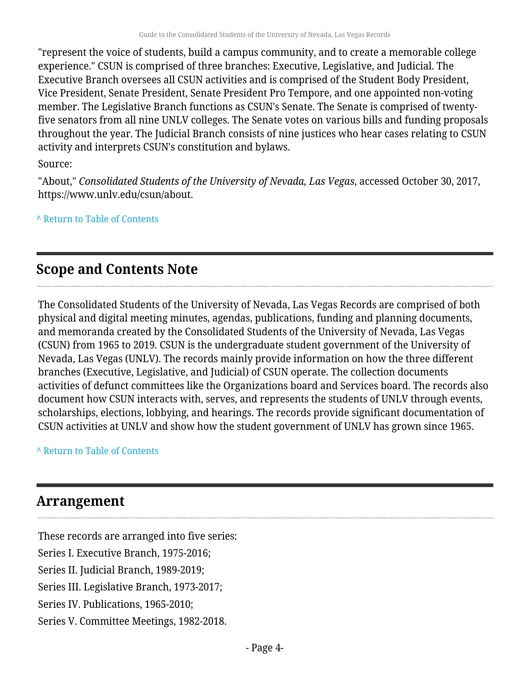"represent the voice of students, build a campus community, and to create a memorable college experience." CSUN is comprised of three branches: Executive, Legislative, and Judicial. The Executive Branch oversees all CSUN activities and is comprised of the Student Body President, Vice President, Senate President, Senate President Pro Tempore, and one appointed non-voting member. The Legislative Branch functions as CSUN's Senate. The Senate is comprised of twentyfive senators from all nine UNLV colleges. The Senate votes on various bills and funding proposals throughout the year. The Judicial Branch consists of nine justices who hear cases relating to CSUN activity and interprets CSUN's constitution and bylaws.

Source:

"About," *Consolidated Students of the University of Nevada, Las Vegas*, accessed October 30, 2017, https://www.unlv.edu/csun/about.

**^** [Return to Table of Contents](#page-1-0)

## <span id="page-3-0"></span>**Scope and Contents Note**

The Consolidated Students of the University of Nevada, Las Vegas Records are comprised of both physical and digital meeting minutes, agendas, publications, funding and planning documents, and memoranda created by the Consolidated Students of the University of Nevada, Las Vegas (CSUN) from 1965 to 2019. CSUN is the undergraduate student government of the University of Nevada, Las Vegas (UNLV). The records mainly provide information on how the three different branches (Executive, Legislative, and Judicial) of CSUN operate. The collection documents activities of defunct committees like the Organizations board and Services board. The records also document how CSUN interacts with, serves, and represents the students of UNLV through events, scholarships, elections, lobbying, and hearings. The records provide significant documentation of CSUN activities at UNLV and show how the student government of UNLV has grown since 1965.

**^** [Return to Table of Contents](#page-1-0)

## <span id="page-3-1"></span>**Arrangement**

These records are arranged into five series: Series I. Executive Branch, 1975-2016; Series II. Judicial Branch, 1989-2019; Series III. Legislative Branch, 1973-2017; Series IV. Publications, 1965-2010; Series V. Committee Meetings, 1982-2018.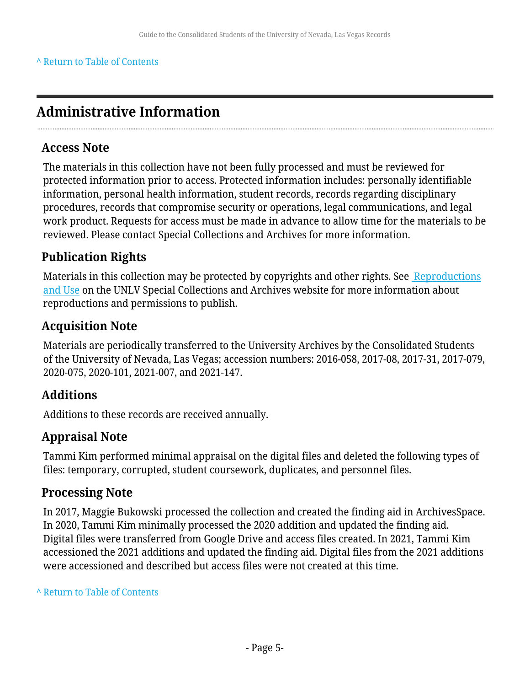#### **^** [Return to Table of Contents](#page-1-0)

## <span id="page-4-0"></span>**Administrative Information**

#### **Access Note**

The materials in this collection have not been fully processed and must be reviewed for protected information prior to access. Protected information includes: personally identifiable information, personal health information, student records, records regarding disciplinary procedures, records that compromise security or operations, legal communications, and legal work product. Requests for access must be made in advance to allow time for the materials to be reviewed. Please contact Special Collections and Archives for more information.

### **Publication Rights**

Materials in this collection may be protected by copyrights and other rights. See [Reproductions](http://www.library.unlv.edu/speccol/research_and_services/reproductions) [and Use](http://www.library.unlv.edu/speccol/research_and_services/reproductions) on the UNLV Special Collections and Archives website for more information about reproductions and permissions to publish.

#### **Acquisition Note**

Materials are periodically transferred to the University Archives by the Consolidated Students of the University of Nevada, Las Vegas; accession numbers: 2016-058, 2017-08, 2017-31, 2017-079, 2020-075, 2020-101, 2021-007, and 2021-147.

### **Additions**

Additions to these records are received annually.

### **Appraisal Note**

Tammi Kim performed minimal appraisal on the digital files and deleted the following types of files: temporary, corrupted, student coursework, duplicates, and personnel files.

### **Processing Note**

In 2017, Maggie Bukowski processed the collection and created the finding aid in ArchivesSpace. In 2020, Tammi Kim minimally processed the 2020 addition and updated the finding aid. Digital files were transferred from Google Drive and access files created. In 2021, Tammi Kim accessioned the 2021 additions and updated the finding aid. Digital files from the 2021 additions were accessioned and described but access files were not created at this time.

**^** [Return to Table of Contents](#page-1-0)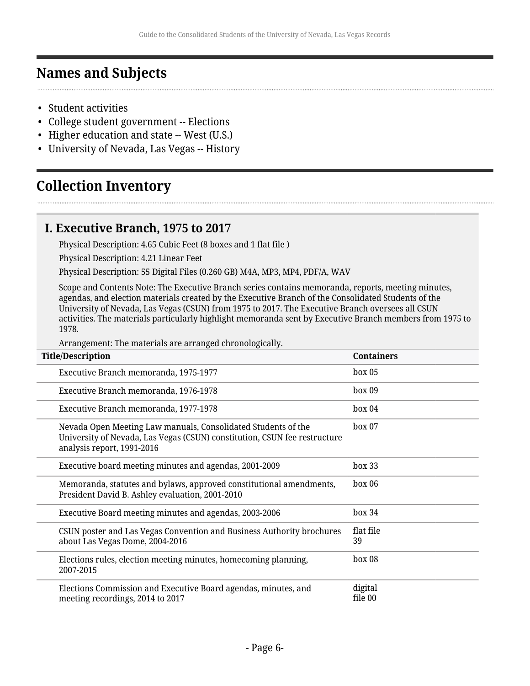## <span id="page-5-0"></span>**Names and Subjects**

- Student activities
- College student government -- Elections
- Higher education and state -- West (U.S.)
- University of Nevada, Las Vegas -- History

## <span id="page-5-1"></span>**Collection Inventory**

### <span id="page-5-2"></span>**I. Executive Branch, 1975 to 2017**

Physical Description: 4.65 Cubic Feet (8 boxes and 1 flat file )

Physical Description: 4.21 Linear Feet

Physical Description: 55 Digital Files (0.260 GB) M4A, MP3, MP4, PDF/A, WAV

Scope and Contents Note: The Executive Branch series contains memoranda, reports, meeting minutes, agendas, and election materials created by the Executive Branch of the Consolidated Students of the University of Nevada, Las Vegas (CSUN) from 1975 to 2017. The Executive Branch oversees all CSUN activities. The materials particularly highlight memoranda sent by Executive Branch members from 1975 to 1978.

Arrangement: The materials are arranged chronologically.

| <b>Title/Description</b>                                                                                                                                                 | <b>Containers</b>  |
|--------------------------------------------------------------------------------------------------------------------------------------------------------------------------|--------------------|
| Executive Branch memoranda, 1975-1977                                                                                                                                    | box 05             |
| Executive Branch memoranda, 1976-1978                                                                                                                                    | box 09             |
| Executive Branch memoranda, 1977-1978                                                                                                                                    | box 04             |
| Nevada Open Meeting Law manuals, Consolidated Students of the<br>University of Nevada, Las Vegas (CSUN) constitution, CSUN fee restructure<br>analysis report, 1991-2016 | box 07             |
| Executive board meeting minutes and agendas, 2001-2009                                                                                                                   | box 33             |
| Memoranda, statutes and bylaws, approved constitutional amendments,<br>President David B. Ashley evaluation, 2001-2010                                                   | box 06             |
| Executive Board meeting minutes and agendas, 2003-2006                                                                                                                   | box 34             |
| CSUN poster and Las Vegas Convention and Business Authority brochures<br>about Las Vegas Dome, 2004-2016                                                                 | flat file<br>39    |
| Elections rules, election meeting minutes, homecoming planning,<br>2007-2015                                                                                             | box 08             |
| Elections Commission and Executive Board agendas, minutes, and<br>meeting recordings, 2014 to 2017                                                                       | digital<br>file 00 |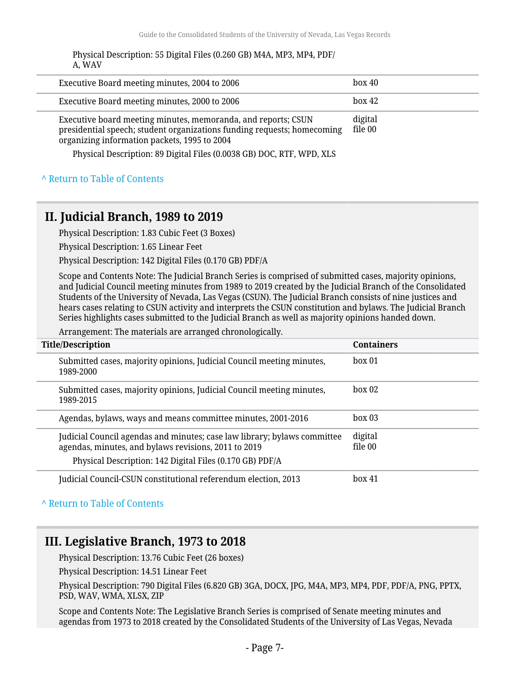| Physical Description: 55 Digital Files (0.260 GB) M4A, MP3, MP4, PDF/ |
|-----------------------------------------------------------------------|
| A, WAV                                                                |

| Executive Board meeting minutes, 2004 to 2006                                                                                                                                            | box 40             |
|------------------------------------------------------------------------------------------------------------------------------------------------------------------------------------------|--------------------|
| Executive Board meeting minutes, 2000 to 2006                                                                                                                                            | box 42             |
| Executive board meeting minutes, memoranda, and reports; CSUN<br>presidential speech; student organizations funding requests; homecoming<br>organizing information packets, 1995 to 2004 | digital<br>file 00 |
| Physical Description: 89 Digital Files (0.0038 GB) DOC, RTF, WPD, XLS                                                                                                                    |                    |

#### **^** [Return to Table of Contents](#page-1-0)

### <span id="page-6-0"></span>**II. Judicial Branch, 1989 to 2019**

Physical Description: 1.83 Cubic Feet (3 Boxes)

Physical Description: 1.65 Linear Feet

Physical Description: 142 Digital Files (0.170 GB) PDF/A

Scope and Contents Note: The Judicial Branch Series is comprised of submitted cases, majority opinions, and Judicial Council meeting minutes from 1989 to 2019 created by the Judicial Branch of the Consolidated Students of the University of Nevada, Las Vegas (CSUN). The Judicial Branch consists of nine justices and hears cases relating to CSUN activity and interprets the CSUN constitution and bylaws. The Judicial Branch Series highlights cases submitted to the Judicial Branch as well as majority opinions handed down.

Arrangement: The materials are arranged chronologically.

| <b>Title/Description</b>                                                                                                                                                                     | <b>Containers</b>  |
|----------------------------------------------------------------------------------------------------------------------------------------------------------------------------------------------|--------------------|
| Submitted cases, majority opinions, Judicial Council meeting minutes,<br>1989-2000                                                                                                           | box 01             |
| Submitted cases, majority opinions, Judicial Council meeting minutes,<br>1989-2015                                                                                                           | box 02             |
| Agendas, bylaws, ways and means committee minutes, 2001-2016                                                                                                                                 | box 03             |
| Judicial Council agendas and minutes; case law library; bylaws committee<br>agendas, minutes, and bylaws revisions, 2011 to 2019<br>Physical Description: 142 Digital Files (0.170 GB) PDF/A | digital<br>file 00 |
| Judicial Council-CSUN constitutional referendum election, 2013                                                                                                                               | $h$ ox 41          |

#### **^** [Return to Table of Contents](#page-1-0)

### <span id="page-6-1"></span>**III. Legislative Branch, 1973 to 2018**

Physical Description: 13.76 Cubic Feet (26 boxes)

Physical Description: 14.51 Linear Feet

Physical Description: 790 Digital Files (6.820 GB) 3GA, DOCX, JPG, M4A, MP3, MP4, PDF, PDF/A, PNG, PPTX, PSD, WAV, WMA, XLSX, ZIP

Scope and Contents Note: The Legislative Branch Series is comprised of Senate meeting minutes and agendas from 1973 to 2018 created by the Consolidated Students of the University of Las Vegas, Nevada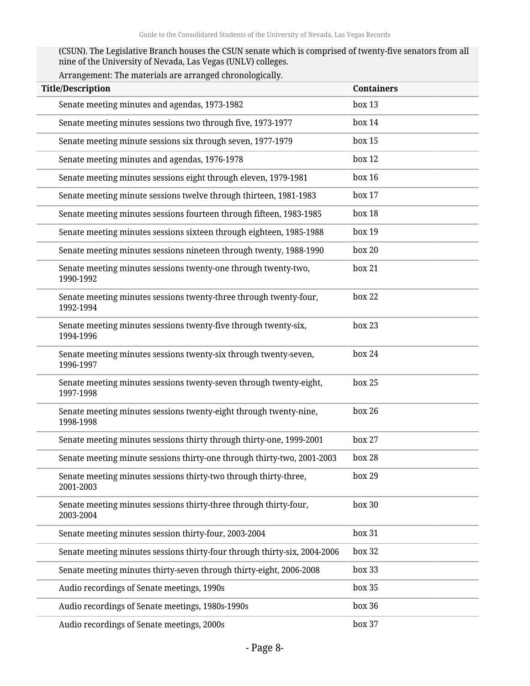(CSUN). The Legislative Branch houses the CSUN senate which is comprised of twenty-five senators from all nine of the University of Nevada, Las Vegas (UNLV) colleges.

| Arrangement: The materials are arranged chronologically. |  |
|----------------------------------------------------------|--|
|                                                          |  |

| <b>Title/Description</b>                                                        | <b>Containers</b> |
|---------------------------------------------------------------------------------|-------------------|
| Senate meeting minutes and agendas, 1973-1982                                   | box 13            |
| Senate meeting minutes sessions two through five, 1973-1977                     | box 14            |
| Senate meeting minute sessions six through seven, 1977-1979                     | box 15            |
| Senate meeting minutes and agendas, 1976-1978                                   | box 12            |
| Senate meeting minutes sessions eight through eleven, 1979-1981                 | box 16            |
| Senate meeting minute sessions twelve through thirteen, 1981-1983               | box 17            |
| Senate meeting minutes sessions fourteen through fifteen, 1983-1985             | box 18            |
| Senate meeting minutes sessions sixteen through eighteen, 1985-1988             | box 19            |
| Senate meeting minutes sessions nineteen through twenty, 1988-1990              | box 20            |
| Senate meeting minutes sessions twenty-one through twenty-two,<br>1990-1992     | box 21            |
| Senate meeting minutes sessions twenty-three through twenty-four,<br>1992-1994  | box 22            |
| Senate meeting minutes sessions twenty-five through twenty-six,<br>1994-1996    | box 23            |
| Senate meeting minutes sessions twenty-six through twenty-seven,<br>1996-1997   | box 24            |
| Senate meeting minutes sessions twenty-seven through twenty-eight,<br>1997-1998 | box 25            |
| Senate meeting minutes sessions twenty-eight through twenty-nine,<br>1998-1998  | box 26            |
| Senate meeting minutes sessions thirty through thirty-one, 1999-2001            | box 27            |
| Senate meeting minute sessions thirty-one through thirty-two, 2001-2003         | box 28            |
| Senate meeting minutes sessions thirty-two through thirty-three,<br>2001-2003   | box 29            |
| Senate meeting minutes sessions thirty-three through thirty-four,<br>2003-2004  | box 30            |
| Senate meeting minutes session thirty-four, 2003-2004                           | box 31            |
| Senate meeting minutes sessions thirty-four through thirty-six, 2004-2006       | box 32            |
| Senate meeting minutes thirty-seven through thirty-eight, 2006-2008             | box 33            |
| Audio recordings of Senate meetings, 1990s                                      | box 35            |
| Audio recordings of Senate meetings, 1980s-1990s                                | box 36            |
| Audio recordings of Senate meetings, 2000s                                      | box 37            |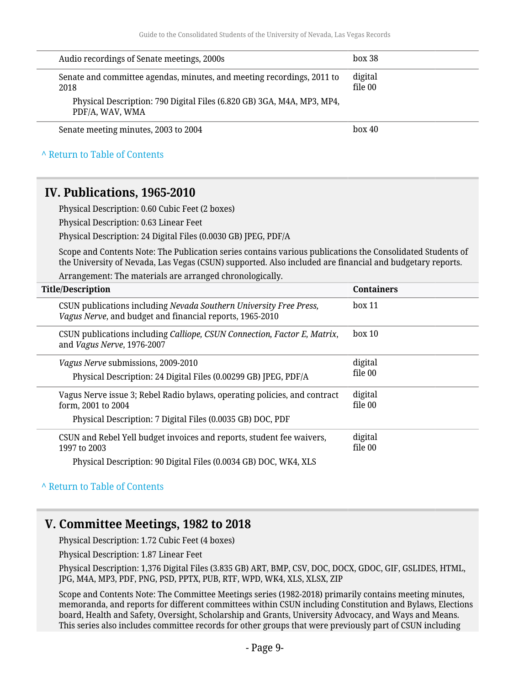<span id="page-8-0"></span>

| Audio recordings of Senate meetings, 2000s                                                                                                                                                                             | box 38             |
|------------------------------------------------------------------------------------------------------------------------------------------------------------------------------------------------------------------------|--------------------|
| Senate and committee agendas, minutes, and meeting recordings, 2011 to<br>2018                                                                                                                                         | digital<br>file 00 |
| Physical Description: 790 Digital Files (6.820 GB) 3GA, M4A, MP3, MP4,<br>PDF/A, WAV, WMA                                                                                                                              |                    |
| Senate meeting minutes, 2003 to 2004                                                                                                                                                                                   | box 40             |
| A Return to Table of Contents                                                                                                                                                                                          |                    |
| IV. Publications, 1965-2010                                                                                                                                                                                            |                    |
| Physical Description: 0.60 Cubic Feet (2 boxes)                                                                                                                                                                        |                    |
| Physical Description: 0.63 Linear Feet                                                                                                                                                                                 |                    |
| Physical Description: 24 Digital Files (0.0030 GB) JPEG, PDF/A                                                                                                                                                         |                    |
| Scope and Contents Note: The Publication series contains various publications the Consolidated Students of<br>the University of Nevada, Las Vegas (CSUN) supported. Also included are financial and budgetary reports. |                    |
| Arrangement: The materials are arranged chronologically.                                                                                                                                                               |                    |
| <b>Title/Description</b>                                                                                                                                                                                               | <b>Containers</b>  |
| CSUN publications including Nevada Southern University Free Press,<br>Vagus Nerve, and budget and financial reports, 1965-2010                                                                                         | box 11             |
| CSUN publications including Calliope, CSUN Connection, Factor E, Matrix,<br>and Vagus Nerve, 1976-2007                                                                                                                 | box 10             |
| Vagus Nerve submissions, 2009-2010                                                                                                                                                                                     | digital            |
| Physical Description: 24 Digital Files (0.00299 GB) JPEG, PDF/A                                                                                                                                                        | file 00            |
| Vagus Nerve issue 3; Rebel Radio bylaws, operating policies, and contract<br>form, 2001 to 2004                                                                                                                        | digital<br>file 00 |
| Physical Description: 7 Digital Files (0.0035 GB) DOC, PDF                                                                                                                                                             |                    |
| CSUN and Rebel Yell budget invoices and reports, student fee waivers,<br>1997 to 2003                                                                                                                                  | digital<br>file 00 |
| Physical Description: 90 Digital Files (0.0034 GB) DOC, WK4, XLS                                                                                                                                                       |                    |

#### **^** [Return to Table of Contents](#page-1-0)

#### <span id="page-8-1"></span>**V. Committee Meetings, 1982 to 2018**

Physical Description: 1.72 Cubic Feet (4 boxes)

Physical Description: 1.87 Linear Feet

Physical Description: 1,376 Digital Files (3.835 GB) ART, BMP, CSV, DOC, DOCX, GDOC, GIF, GSLIDES, HTML, JPG, M4A, MP3, PDF, PNG, PSD, PPTX, PUB, RTF, WPD, WK4, XLS, XLSX, ZIP

Scope and Contents Note: The Committee Meetings series (1982-2018) primarily contains meeting minutes, memoranda, and reports for different committees within CSUN including Constitution and Bylaws, Elections board, Health and Safety, Oversight, Scholarship and Grants, University Advocacy, and Ways and Means. This series also includes committee records for other groups that were previously part of CSUN including